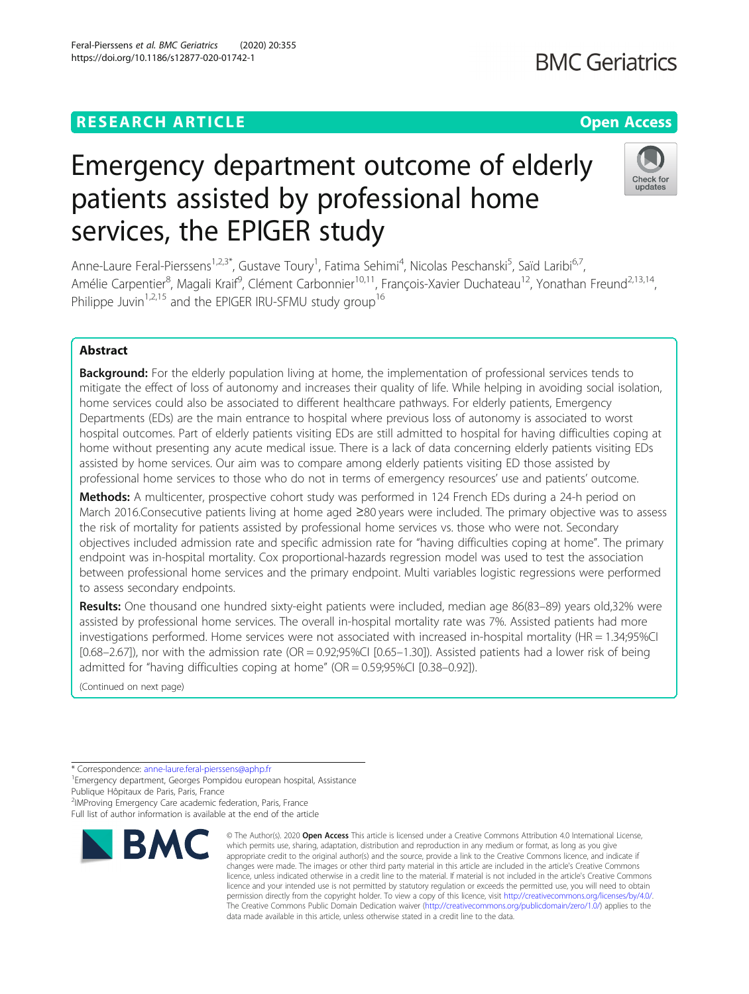## **RESEARCH ARTICLE Example 2014 12:30 The Contract of Contract ACCESS**

# Emergency department outcome of elderly patients assisted by professional home services, the EPIGER study

Anne-Laure Feral-Pierssens<sup>1,2,3\*</sup>, Gustave Toury<sup>1</sup>, Fatima Sehimi<sup>4</sup>, Nicolas Peschanski<sup>5</sup>, Saïd Laribi<sup>6,7</sup>, Amélie Carpentier<sup>8</sup>, Magali Kraif<sup>9</sup>, Clément Carbonnier<sup>10,11</sup>, François-Xavier Duchateau<sup>12</sup>, Yonathan Freund<sup>2,13,14</sup>, Philippe Juvin<sup>1,2,15</sup> and the EPIGER IRU-SFMU study group<sup>16</sup>

### Abstract

**Background:** For the elderly population living at home, the implementation of professional services tends to mitigate the effect of loss of autonomy and increases their quality of life. While helping in avoiding social isolation, home services could also be associated to different healthcare pathways. For elderly patients, Emergency Departments (EDs) are the main entrance to hospital where previous loss of autonomy is associated to worst hospital outcomes. Part of elderly patients visiting EDs are still admitted to hospital for having difficulties coping at home without presenting any acute medical issue. There is a lack of data concerning elderly patients visiting EDs assisted by home services. Our aim was to compare among elderly patients visiting ED those assisted by professional home services to those who do not in terms of emergency resources' use and patients' outcome.

Methods: A multicenter, prospective cohort study was performed in 124 French EDs during a 24-h period on March 2016.Consecutive patients living at home aged ≥80 years were included. The primary objective was to assess the risk of mortality for patients assisted by professional home services vs. those who were not. Secondary objectives included admission rate and specific admission rate for "having difficulties coping at home". The primary endpoint was in-hospital mortality. Cox proportional-hazards regression model was used to test the association between professional home services and the primary endpoint. Multi variables logistic regressions were performed to assess secondary endpoints.

Results: One thousand one hundred sixty-eight patients were included, median age 86(83–89) years old,32% were assisted by professional home services. The overall in-hospital mortality rate was 7%. Assisted patients had more investigations performed. Home services were not associated with increased in-hospital mortality (HR = 1.34;95%CI [0.68–2.67]), nor with the admission rate (OR = 0.92;95%CI [0.65–1.30]). Assisted patients had a lower risk of being admitted for "having difficulties coping at home" (OR = 0.59;95%CI [0.38–0.92]).

(Continued on next page)

<sup>2</sup>IMProving Emergency Care academic federation, Paris, France

Full list of author information is available at the end of the article



<sup>©</sup> The Author(s), 2020 **Open Access** This article is licensed under a Creative Commons Attribution 4.0 International License, which permits use, sharing, adaptation, distribution and reproduction in any medium or format, as long as you give appropriate credit to the original author(s) and the source, provide a link to the Creative Commons licence, and indicate if changes were made. The images or other third party material in this article are included in the article's Creative Commons licence, unless indicated otherwise in a credit line to the material. If material is not included in the article's Creative Commons licence and your intended use is not permitted by statutory regulation or exceeds the permitted use, you will need to obtain permission directly from the copyright holder. To view a copy of this licence, visit [http://creativecommons.org/licenses/by/4.0/.](http://creativecommons.org/licenses/by/4.0/) The Creative Commons Public Domain Dedication waiver [\(http://creativecommons.org/publicdomain/zero/1.0/](http://creativecommons.org/publicdomain/zero/1.0/)) applies to the data made available in this article, unless otherwise stated in a credit line to the data.



<sup>\*</sup> Correspondence: [anne-laure.feral-pierssens@aphp.fr](mailto:anne-laure.feral-pierssens@aphp.fr) <sup>1</sup>

<sup>&</sup>lt;sup>1</sup>Emergency department, Georges Pompidou european hospital, Assistance Publique Hôpitaux de Paris, Paris, France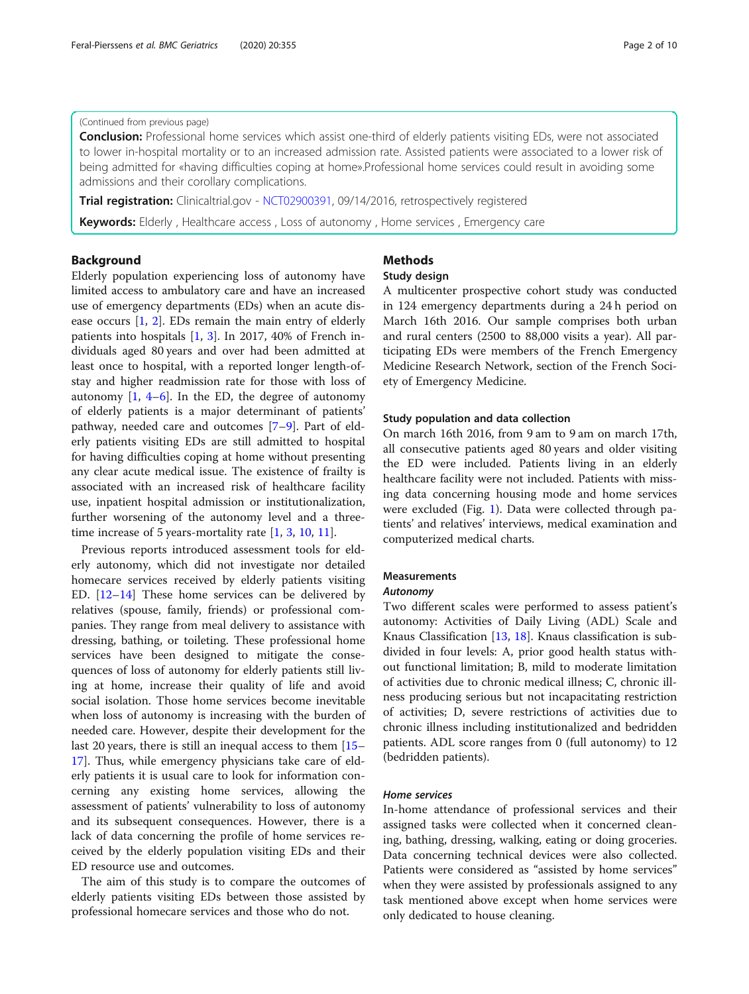#### (Continued from previous page)

**Conclusion:** Professional home services which assist one-third of elderly patients visiting EDs, were not associated to lower in-hospital mortality or to an increased admission rate. Assisted patients were associated to a lower risk of being admitted for «having difficulties coping at home».Professional home services could result in avoiding some admissions and their corollary complications.

**Trial registration:** Clinicaltrial.gov - [NCT02900391](https://clinicaltrials.gov/ct2/show/NCT02900391), 09/14/2016, retrospectively registered

Keywords: Elderly, Healthcare access, Loss of autonomy, Home services, Emergency care

#### Background

Elderly population experiencing loss of autonomy have limited access to ambulatory care and have an increased use of emergency departments (EDs) when an acute disease occurs [\[1](#page-8-0), [2\]](#page-8-0). EDs remain the main entry of elderly patients into hospitals [\[1](#page-8-0), [3\]](#page-8-0). In 2017, 40% of French individuals aged 80 years and over had been admitted at least once to hospital, with a reported longer length-ofstay and higher readmission rate for those with loss of autonomy  $[1, 4-6]$  $[1, 4-6]$  $[1, 4-6]$  $[1, 4-6]$  $[1, 4-6]$  $[1, 4-6]$ . In the ED, the degree of autonomy of elderly patients is a major determinant of patients' pathway, needed care and outcomes [[7](#page-8-0)–[9](#page-8-0)]. Part of elderly patients visiting EDs are still admitted to hospital for having difficulties coping at home without presenting any clear acute medical issue. The existence of frailty is associated with an increased risk of healthcare facility use, inpatient hospital admission or institutionalization, further worsening of the autonomy level and a threetime increase of 5 years-mortality rate  $[1, 3, 10, 11]$  $[1, 3, 10, 11]$  $[1, 3, 10, 11]$  $[1, 3, 10, 11]$  $[1, 3, 10, 11]$  $[1, 3, 10, 11]$  $[1, 3, 10, 11]$  $[1, 3, 10, 11]$ .

Previous reports introduced assessment tools for elderly autonomy, which did not investigate nor detailed homecare services received by elderly patients visiting ED. [\[12](#page-8-0)–[14\]](#page-9-0) These home services can be delivered by relatives (spouse, family, friends) or professional companies. They range from meal delivery to assistance with dressing, bathing, or toileting. These professional home services have been designed to mitigate the consequences of loss of autonomy for elderly patients still living at home, increase their quality of life and avoid social isolation. Those home services become inevitable when loss of autonomy is increasing with the burden of needed care. However, despite their development for the last 20 years, there is still an inequal access to them [[15](#page-9-0)– [17\]](#page-9-0). Thus, while emergency physicians take care of elderly patients it is usual care to look for information concerning any existing home services, allowing the assessment of patients' vulnerability to loss of autonomy and its subsequent consequences. However, there is a lack of data concerning the profile of home services received by the elderly population visiting EDs and their ED resource use and outcomes.

The aim of this study is to compare the outcomes of elderly patients visiting EDs between those assisted by professional homecare services and those who do not.

#### Methods

#### Study design

A multicenter prospective cohort study was conducted in 124 emergency departments during a 24 h period on March 16th 2016. Our sample comprises both urban and rural centers (2500 to 88,000 visits a year). All participating EDs were members of the French Emergency Medicine Research Network, section of the French Society of Emergency Medicine.

#### Study population and data collection

On march 16th 2016, from 9 am to 9 am on march 17th, all consecutive patients aged 80 years and older visiting the ED were included. Patients living in an elderly healthcare facility were not included. Patients with missing data concerning housing mode and home services were excluded (Fig. [1](#page-2-0)). Data were collected through patients' and relatives' interviews, medical examination and computerized medical charts.

#### Measurements

#### Autonomy

Two different scales were performed to assess patient's autonomy: Activities of Daily Living (ADL) Scale and Knaus Classification [[13,](#page-9-0) [18\]](#page-9-0). Knaus classification is subdivided in four levels: A, prior good health status without functional limitation; B, mild to moderate limitation of activities due to chronic medical illness; C, chronic illness producing serious but not incapacitating restriction of activities; D, severe restrictions of activities due to chronic illness including institutionalized and bedridden patients. ADL score ranges from 0 (full autonomy) to 12 (bedridden patients).

#### Home services

In-home attendance of professional services and their assigned tasks were collected when it concerned cleaning, bathing, dressing, walking, eating or doing groceries. Data concerning technical devices were also collected. Patients were considered as "assisted by home services" when they were assisted by professionals assigned to any task mentioned above except when home services were only dedicated to house cleaning.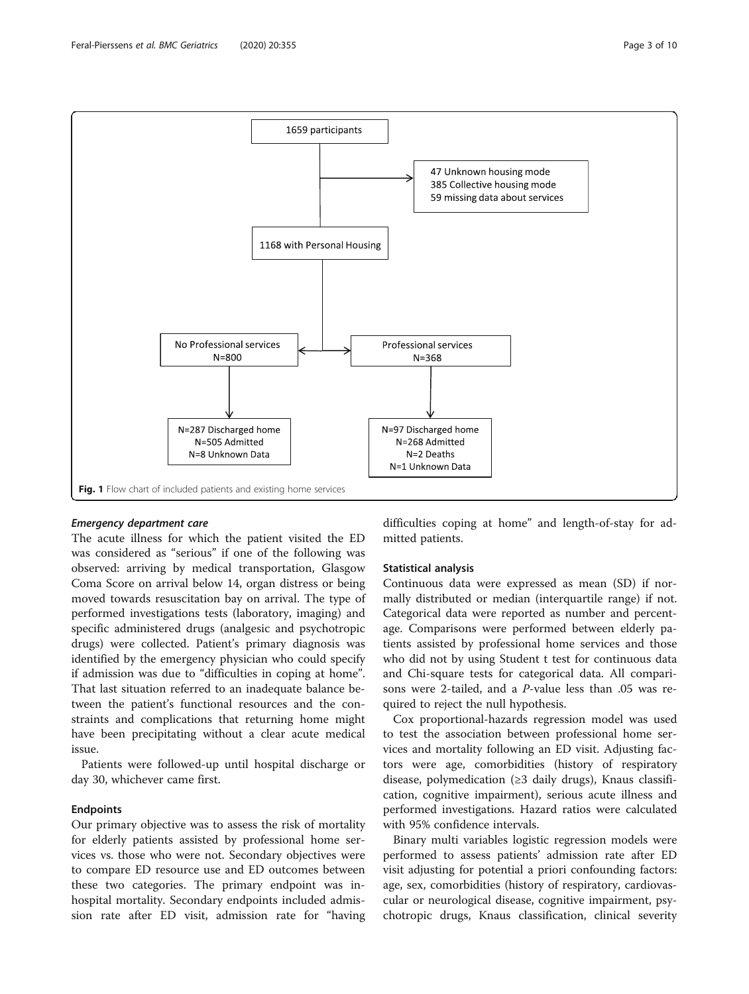<span id="page-2-0"></span>

#### Emergency department care

The acute illness for which the patient visited the ED was considered as "serious" if one of the following was observed: arriving by medical transportation, Glasgow Coma Score on arrival below 14, organ distress or being moved towards resuscitation bay on arrival. The type of performed investigations tests (laboratory, imaging) and specific administered drugs (analgesic and psychotropic drugs) were collected. Patient's primary diagnosis was identified by the emergency physician who could specify if admission was due to "difficulties in coping at home". That last situation referred to an inadequate balance between the patient's functional resources and the constraints and complications that returning home might have been precipitating without a clear acute medical issue.

Patients were followed-up until hospital discharge or day 30, whichever came first.

#### Endpoints

Our primary objective was to assess the risk of mortality for elderly patients assisted by professional home services vs. those who were not. Secondary objectives were to compare ED resource use and ED outcomes between these two categories. The primary endpoint was inhospital mortality. Secondary endpoints included admission rate after ED visit, admission rate for "having

difficulties coping at home" and length-of-stay for admitted patients.

#### Statistical analysis

Continuous data were expressed as mean (SD) if normally distributed or median (interquartile range) if not. Categorical data were reported as number and percentage. Comparisons were performed between elderly patients assisted by professional home services and those who did not by using Student t test for continuous data and Chi-square tests for categorical data. All comparisons were 2-tailed, and a P-value less than .05 was required to reject the null hypothesis.

Cox proportional-hazards regression model was used to test the association between professional home services and mortality following an ED visit. Adjusting factors were age, comorbidities (history of respiratory disease, polymedication (≥3 daily drugs), Knaus classification, cognitive impairment), serious acute illness and performed investigations. Hazard ratios were calculated with 95% confidence intervals.

Binary multi variables logistic regression models were performed to assess patients' admission rate after ED visit adjusting for potential a priori confounding factors: age, sex, comorbidities (history of respiratory, cardiovascular or neurological disease, cognitive impairment, psychotropic drugs, Knaus classification, clinical severity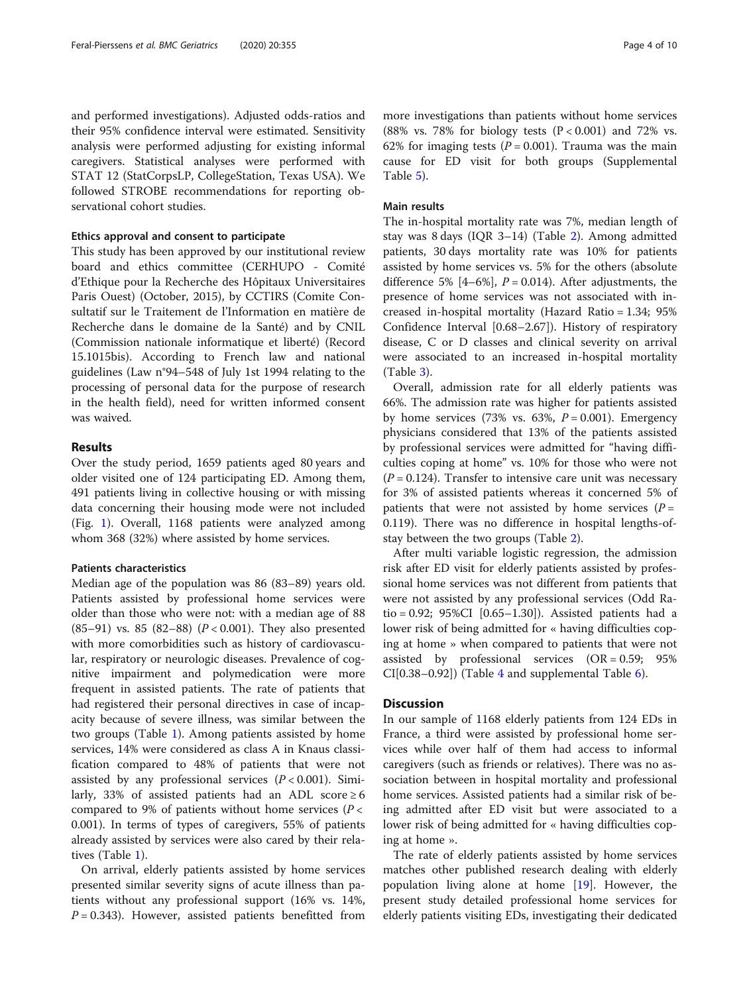and performed investigations). Adjusted odds-ratios and their 95% confidence interval were estimated. Sensitivity analysis were performed adjusting for existing informal caregivers. Statistical analyses were performed with STAT 12 (StatCorpsLP, CollegeStation, Texas USA). We followed STROBE recommendations for reporting observational cohort studies.

#### Ethics approval and consent to participate

This study has been approved by our institutional review board and ethics committee (CERHUPO - Comité d'Ethique pour la Recherche des Hôpitaux Universitaires Paris Ouest) (October, 2015), by CCTIRS (Comite Consultatif sur le Traitement de l'Information en matière de Recherche dans le domaine de la Santé) and by CNIL (Commission nationale informatique et liberté) (Record 15.1015bis). According to French law and national guidelines (Law n°94–548 of July 1st 1994 relating to the processing of personal data for the purpose of research in the health field), need for written informed consent was waived.

#### Results

Over the study period, 1659 patients aged 80 years and older visited one of 124 participating ED. Among them, 491 patients living in collective housing or with missing data concerning their housing mode were not included (Fig. [1](#page-2-0)). Overall, 1168 patients were analyzed among whom 368 (32%) where assisted by home services.

#### Patients characteristics

Median age of the population was 86 (83–89) years old. Patients assisted by professional home services were older than those who were not: with a median age of 88 (85–91) vs. 85 (82–88)  $(P < 0.001)$ . They also presented with more comorbidities such as history of cardiovascular, respiratory or neurologic diseases. Prevalence of cognitive impairment and polymedication were more frequent in assisted patients. The rate of patients that had registered their personal directives in case of incapacity because of severe illness, was similar between the two groups (Table [1](#page-4-0)). Among patients assisted by home services, 14% were considered as class A in Knaus classification compared to 48% of patients that were not assisted by any professional services  $(P < 0.001)$ . Similarly, 33% of assisted patients had an ADL score  $\geq 6$ compared to 9% of patients without home services ( $P$  < 0.001). In terms of types of caregivers, 55% of patients already assisted by services were also cared by their relatives (Table [1](#page-4-0)).

On arrival, elderly patients assisted by home services presented similar severity signs of acute illness than patients without any professional support (16% vs. 14%,  $P = 0.343$ ). However, assisted patients benefitted from more investigations than patients without home services (88% vs. 78% for biology tests  $(P < 0.001)$  and 72% vs. 62% for imaging tests ( $P = 0.001$ ). Trauma was the main cause for ED visit for both groups (Supplemental Table [5\)](#page-7-0).

#### Main results

The in-hospital mortality rate was 7%, median length of stay was 8 days (IQR 3–14) (Table [2\)](#page-5-0). Among admitted patients, 30 days mortality rate was 10% for patients assisted by home services vs. 5% for the others (absolute difference 5%  $[4-6\%]$ ,  $P = 0.014$ ). After adjustments, the presence of home services was not associated with increased in-hospital mortality (Hazard Ratio = 1.34; 95% Confidence Interval [0.68–2.67]). History of respiratory disease, C or D classes and clinical severity on arrival were associated to an increased in-hospital mortality (Table [3\)](#page-6-0).

Overall, admission rate for all elderly patients was 66%. The admission rate was higher for patients assisted by home services (73% vs. 63%,  $P = 0.001$ ). Emergency physicians considered that 13% of the patients assisted by professional services were admitted for "having difficulties coping at home" vs. 10% for those who were not  $(P = 0.124)$ . Transfer to intensive care unit was necessary for 3% of assisted patients whereas it concerned 5% of patients that were not assisted by home services  $(P =$ 0.119). There was no difference in hospital lengths-ofstay between the two groups (Table [2\)](#page-5-0).

After multi variable logistic regression, the admission risk after ED visit for elderly patients assisted by professional home services was not different from patients that were not assisted by any professional services (Odd Ratio = 0.92; 95%CI [0.65–1.30]). Assisted patients had a lower risk of being admitted for « having difficulties coping at home » when compared to patients that were not assisted by professional services (OR = 0.59; 95%  $CI[0.38-0.92]$  (Table [4](#page-6-0) and supplemental Table [6](#page-7-0)).

#### **Discussion**

In our sample of 1168 elderly patients from 124 EDs in France, a third were assisted by professional home services while over half of them had access to informal caregivers (such as friends or relatives). There was no association between in hospital mortality and professional home services. Assisted patients had a similar risk of being admitted after ED visit but were associated to a lower risk of being admitted for « having difficulties coping at home ».

The rate of elderly patients assisted by home services matches other published research dealing with elderly population living alone at home [[19\]](#page-9-0). However, the present study detailed professional home services for elderly patients visiting EDs, investigating their dedicated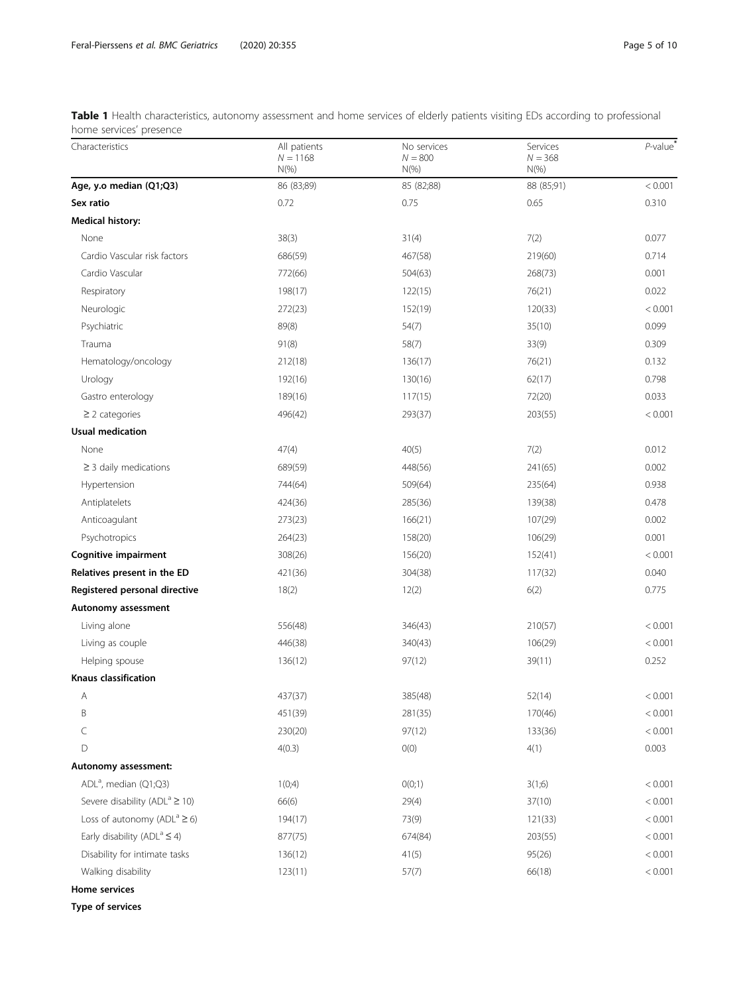<span id="page-4-0"></span>

| Table 1 Health characteristics, autonomy assessment and home services of elderly patients visiting EDs according to professional |  |  |  |  |  |  |
|----------------------------------------------------------------------------------------------------------------------------------|--|--|--|--|--|--|
| home services' presence                                                                                                          |  |  |  |  |  |  |

| Characteristics                                | All patients<br>$N = 1168$<br>$N(\%)$ | No services<br>$N = 800$<br>$N(\%)$ | Services<br>$N = 368$<br>$N(\%)$ | P-value <sup>®</sup> |
|------------------------------------------------|---------------------------------------|-------------------------------------|----------------------------------|----------------------|
| Age, y.o median (Q1;Q3)                        | 86 (83;89)                            | 85 (82;88)                          | 88 (85;91)                       | < 0.001              |
| Sex ratio                                      | 0.72                                  | 0.75                                | 0.65                             | 0.310                |
| <b>Medical history:</b>                        |                                       |                                     |                                  |                      |
| None                                           | 38(3)                                 | 31(4)                               | 7(2)                             | 0.077                |
| Cardio Vascular risk factors                   | 686(59)                               | 467(58)                             | 219(60)                          | 0.714                |
| Cardio Vascular                                | 772(66)                               | 504(63)                             | 268(73)                          | 0.001                |
| Respiratory                                    | 198(17)                               | 122(15)                             | 76(21)                           | 0.022                |
| Neurologic                                     | 272(23)                               | 152(19)                             | 120(33)                          | < 0.001              |
| Psychiatric                                    | 89(8)                                 | 54(7)                               | 35(10)                           | 0.099                |
| Trauma                                         | 91(8)                                 | 58(7)                               | 33(9)                            | 0.309                |
| Hematology/oncology                            | 212(18)                               | 136(17)                             | 76(21)                           | 0.132                |
| Urology                                        | 192(16)                               | 130(16)                             | 62(17)                           | 0.798                |
| Gastro enterology                              | 189(16)                               | 117(15)                             | 72(20)                           | 0.033                |
| $\geq$ 2 categories                            | 496(42)                               | 293(37)                             | 203(55)                          | < 0.001              |
| <b>Usual medication</b>                        |                                       |                                     |                                  |                      |
| None                                           | 47(4)                                 | 40(5)                               | 7(2)                             | 0.012                |
| $\geq$ 3 daily medications                     | 689(59)                               | 448(56)                             | 241(65)                          | 0.002                |
| Hypertension                                   | 744(64)                               | 509(64)                             | 235(64)                          | 0.938                |
| Antiplatelets                                  | 424(36)                               | 285(36)                             | 139(38)                          | 0.478                |
| Anticoagulant                                  | 273(23)                               | 166(21)                             | 107(29)                          | 0.002                |
| Psychotropics                                  | 264(23)                               | 158(20)                             | 106(29)                          | 0.001                |
| <b>Cognitive impairment</b>                    | 308(26)                               | 156(20)                             | 152(41)                          | < 0.001              |
| Relatives present in the ED                    | 421(36)                               | 304(38)                             | 117(32)                          | 0.040                |
| Registered personal directive                  | 18(2)                                 | 12(2)                               | 6(2)                             | 0.775                |
| Autonomy assessment                            |                                       |                                     |                                  |                      |
| Living alone                                   | 556(48)                               | 346(43)                             | 210(57)                          | < 0.001              |
| Living as couple                               | 446(38)                               | 340(43)                             | 106(29)                          | < 0.001              |
| Helping spouse                                 | 136(12)                               | 97(12)                              | 39(11)                           | 0.252                |
| Knaus classification                           |                                       |                                     |                                  |                      |
| A                                              | 437(37)                               | 385(48)                             | 52(14)                           | < 0.001              |
| Β                                              | 451(39)                               | 281(35)                             | 170(46)                          | < 0.001              |
| С                                              | 230(20)                               | 97(12)                              | 133(36)                          | < 0.001              |
| D                                              | 4(0.3)                                | O(0)                                | 4(1)                             | 0.003                |
| Autonomy assessment:                           |                                       |                                     |                                  |                      |
| ADL <sup>a</sup> , median (Q1;Q3)              | 1(0;4)                                | O(0;1)                              | 3(1,6)                           | < 0.001              |
| Severe disability (ADL <sup>a</sup> $\geq$ 10) | 66(6)                                 | 29(4)                               | 37(10)                           | < 0.001              |
| Loss of autonomy (ADL <sup>a</sup> $\geq$ 6)   | 194(17)                               | 73(9)                               | 121(33)                          | < 0.001              |
| Early disability (ADL <sup>a</sup> $\leq$ 4)   | 877(75)                               | 674(84)                             | 203(55)                          | < 0.001              |
| Disability for intimate tasks                  | 136(12)                               | 41(5)                               | 95(26)                           | < 0.001              |
| Walking disability                             | 123(11)                               | 57(7)                               | 66(18)                           | < 0.001              |
| Home services                                  |                                       |                                     |                                  |                      |

Type of services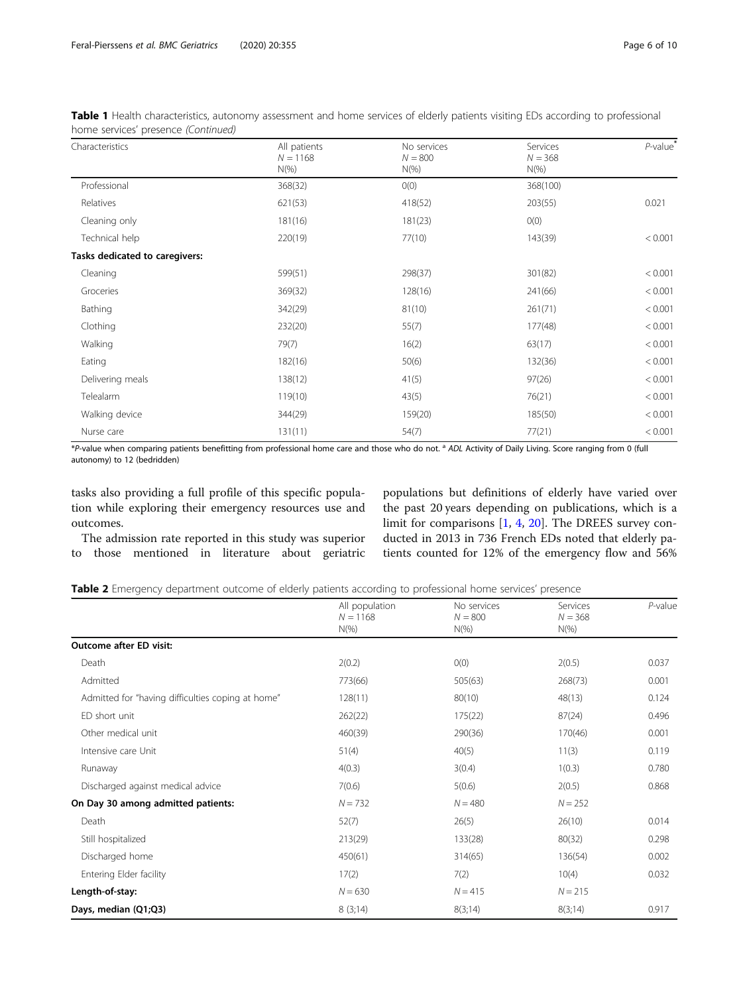| Characteristics                | All patients<br>$N = 1168$<br>$N(\%)$ | No services<br>$N = 800$<br>$N(\%)$ | Services<br>$N = 368$<br>$N(\%)$ | $P$ -value <sup>*</sup> |
|--------------------------------|---------------------------------------|-------------------------------------|----------------------------------|-------------------------|
| Professional                   | 368(32)                               | O(0)                                | 368(100)                         |                         |
| Relatives                      | 621(53)                               | 418(52)                             | 203(55)                          | 0.021                   |
| Cleaning only                  | 181(16)                               | 181(23)                             | O(0)                             |                         |
| Technical help                 | 220(19)                               | 77(10)                              | 143(39)                          | < 0.001                 |
| Tasks dedicated to caregivers: |                                       |                                     |                                  |                         |
| Cleaning                       | 599(51)                               | 298(37)                             | 301(82)                          | < 0.001                 |
| Groceries                      | 369(32)                               | 128(16)                             | 241(66)                          | < 0.001                 |
| Bathing                        | 342(29)                               | 81(10)                              | 261(71)                          | < 0.001                 |
| Clothing                       | 232(20)                               | 55(7)                               | 177(48)                          | < 0.001                 |
| Walking                        | 79(7)                                 | 16(2)                               | 63(17)                           | < 0.001                 |
| Eating                         | 182(16)                               | 50(6)                               | 132(36)                          | < 0.001                 |
| Delivering meals               | 138(12)                               | 41(5)                               | 97(26)                           | < 0.001                 |
| Telealarm                      | 119(10)                               | 43(5)                               | 76(21)                           | < 0.001                 |
| Walking device                 | 344(29)                               | 159(20)                             | 185(50)                          | < 0.001                 |
| Nurse care                     | 131(11)                               | 54(7)                               | 77(21)                           | < 0.001                 |

<span id="page-5-0"></span>Table 1 Health characteristics, autonomy assessment and home services of elderly patients visiting EDs according to professional home services' presence (Continued)

\*P-value when comparing patients benefitting from professional home care and those who do not.<sup>3</sup> ADL Activity of Daily Living. Score ranging from 0 (full autonomy) to 12 (bedridden)

tasks also providing a full profile of this specific population while exploring their emergency resources use and outcomes.

The admission rate reported in this study was superior to those mentioned in literature about geriatric populations but definitions of elderly have varied over the past 20 years depending on publications, which is a limit for comparisons [[1,](#page-8-0) [4](#page-8-0), [20](#page-9-0)]. The DREES survey conducted in 2013 in 736 French EDs noted that elderly patients counted for 12% of the emergency flow and 56%

|  |  |  |  | Table 2 Emergency department outcome of elderly patients according to professional home services' presence |  |
|--|--|--|--|------------------------------------------------------------------------------------------------------------|--|
|--|--|--|--|------------------------------------------------------------------------------------------------------------|--|

|                                                   | All population<br>$N = 1168$<br>$N(\%)$ | No services<br>$N = 800$<br>$N(\%)$ | Services<br>$N = 368$<br>$N(\%)$ | $P$ -value |
|---------------------------------------------------|-----------------------------------------|-------------------------------------|----------------------------------|------------|
| Outcome after ED visit:                           |                                         |                                     |                                  |            |
| Death                                             | 2(0.2)                                  | O(0)                                | 2(0.5)                           | 0.037      |
| Admitted                                          | 773(66)                                 | 505(63)                             | 268(73)                          | 0.001      |
| Admitted for "having difficulties coping at home" | 128(11)                                 | 80(10)                              | 48(13)                           | 0.124      |
| ED short unit                                     | 262(22)                                 | 175(22)                             | 87(24)                           | 0.496      |
| Other medical unit                                | 460(39)                                 | 290(36)                             | 170(46)                          | 0.001      |
| Intensive care Unit                               | 51(4)                                   | 40(5)                               | 11(3)                            | 0.119      |
| Runaway                                           | 4(0.3)                                  | 3(0.4)                              | 1(0.3)                           | 0.780      |
| Discharged against medical advice                 | 7(0.6)                                  | 5(0.6)                              | 2(0.5)                           | 0.868      |
| On Day 30 among admitted patients:                | $N = 732$                               | $N = 480$                           | $N = 252$                        |            |
| Death                                             | 52(7)                                   | 26(5)                               | 26(10)                           | 0.014      |
| Still hospitalized                                | 213(29)                                 | 133(28)                             | 80(32)                           | 0.298      |
| Discharged home                                   | 450(61)                                 | 314(65)                             | 136(54)                          | 0.002      |
| Entering Elder facility                           | 17(2)                                   | 7(2)                                | 10(4)                            | 0.032      |
| Length-of-stay:                                   | $N = 630$                               | $N = 415$                           | $N = 215$                        |            |
| Days, median (Q1;Q3)                              | 8(3;14)                                 | 8(3;14)                             | 8(3;14)                          | 0.917      |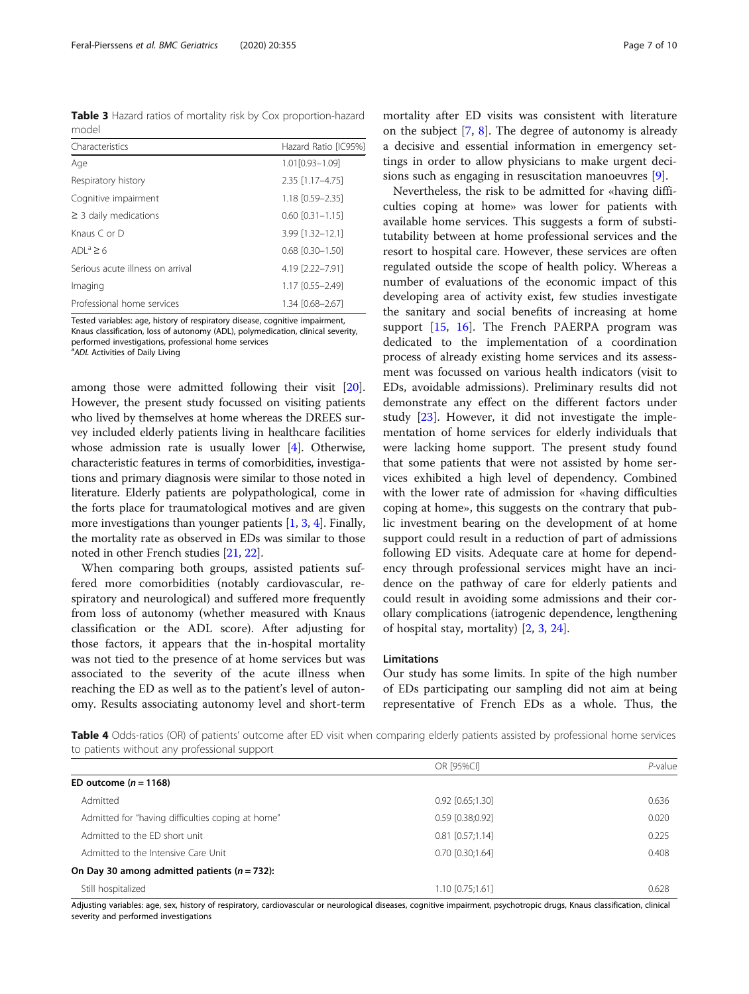<span id="page-6-0"></span>Table 3 Hazard ratios of mortality risk by Cox proportion-hazard model

| Characteristics                  | Hazard Ratio [IC95%]   |
|----------------------------------|------------------------|
| Age                              | 1.01[0.93-1.09]        |
| Respiratory history              | 2.35 [1.17-4.75]       |
| Cognitive impairment             | 1.18 [0.59-2.35]       |
| $\geq$ 3 daily medications       | $0.60$ $[0.31 - 1.15]$ |
| Knaus $C$ or $D$                 | 3.99 [1.32-12.1]       |
| ADI <sup>a</sup> > 6             | $0.68$ $[0.30 - 1.50]$ |
| Serious acute illness on arrival | 4.19 [2.22-7.91]       |
| Imaging                          | 1.17 [0.55-2.49]       |
| Professional home services       | 1.34 [0.68-2.67]       |

Tested variables: age, history of respiratory disease, cognitive impairment, Knaus classification, loss of autonomy (ADL), polymedication, clinical severity, performed investigations, professional home services <sup>a</sup>ADL Activities of Daily Living

among those were admitted following their visit [[20](#page-9-0)]. However, the present study focussed on visiting patients who lived by themselves at home whereas the DREES survey included elderly patients living in healthcare facilities whose admission rate is usually lower [[4](#page-8-0)]. Otherwise, characteristic features in terms of comorbidities, investigations and primary diagnosis were similar to those noted in literature. Elderly patients are polypathological, come in the forts place for traumatological motives and are given more investigations than younger patients [\[1](#page-8-0), [3,](#page-8-0) [4](#page-8-0)]. Finally, the mortality rate as observed in EDs was similar to those noted in other French studies [\[21,](#page-9-0) [22](#page-9-0)].

When comparing both groups, assisted patients suffered more comorbidities (notably cardiovascular, respiratory and neurological) and suffered more frequently from loss of autonomy (whether measured with Knaus classification or the ADL score). After adjusting for those factors, it appears that the in-hospital mortality was not tied to the presence of at home services but was associated to the severity of the acute illness when reaching the ED as well as to the patient's level of autonomy. Results associating autonomy level and short-term

mortality after ED visits was consistent with literature on the subject [\[7](#page-8-0), [8](#page-8-0)]. The degree of autonomy is already a decisive and essential information in emergency settings in order to allow physicians to make urgent decisions such as engaging in resuscitation manoeuvres [\[9](#page-8-0)].

Nevertheless, the risk to be admitted for «having difficulties coping at home» was lower for patients with available home services. This suggests a form of substitutability between at home professional services and the resort to hospital care. However, these services are often regulated outside the scope of health policy. Whereas a number of evaluations of the economic impact of this developing area of activity exist, few studies investigate the sanitary and social benefits of increasing at home support  $[15, 16]$  $[15, 16]$  $[15, 16]$ . The French PAERPA program was dedicated to the implementation of a coordination process of already existing home services and its assessment was focussed on various health indicators (visit to EDs, avoidable admissions). Preliminary results did not demonstrate any effect on the different factors under study [[23\]](#page-9-0). However, it did not investigate the implementation of home services for elderly individuals that were lacking home support. The present study found that some patients that were not assisted by home services exhibited a high level of dependency. Combined with the lower rate of admission for «having difficulties coping at home», this suggests on the contrary that public investment bearing on the development of at home support could result in a reduction of part of admissions following ED visits. Adequate care at home for dependency through professional services might have an incidence on the pathway of care for elderly patients and could result in avoiding some admissions and their corollary complications (iatrogenic dependence, lengthening of hospital stay, mortality) [\[2,](#page-8-0) [3,](#page-8-0) [24\]](#page-9-0).

#### Limitations

Our study has some limits. In spite of the high number of EDs participating our sampling did not aim at being representative of French EDs as a whole. Thus, the

Table 4 Odds-ratios (OR) of patients' outcome after ED visit when comparing elderly patients assisted by professional home services to patients without any professional support

|                                                   | <b>OR [95%CI]</b>    | P-value |
|---------------------------------------------------|----------------------|---------|
| ED outcome $(n = 1168)$                           |                      |         |
| Admitted                                          | $0.92$ $[0.65;1.30]$ | 0.636   |
| Admitted for "having difficulties coping at home" | 0.59 [0.38;0.92]     | 0.020   |
| Admitted to the FD short unit                     | $0.81$ $[0.57;1.14]$ | 0.225   |
| Admitted to the Intensive Care Unit               | $0.70$ $[0.30;1.64]$ | 0.408   |
| On Day 30 among admitted patients $(n = 732)$ :   |                      |         |
| Still hospitalized                                | $1.10$ $[0.75;1.61]$ | 0.628   |

Adjusting variables: age, sex, history of respiratory, cardiovascular or neurological diseases, cognitive impairment, psychotropic drugs, Knaus classification, clinical severity and performed investigations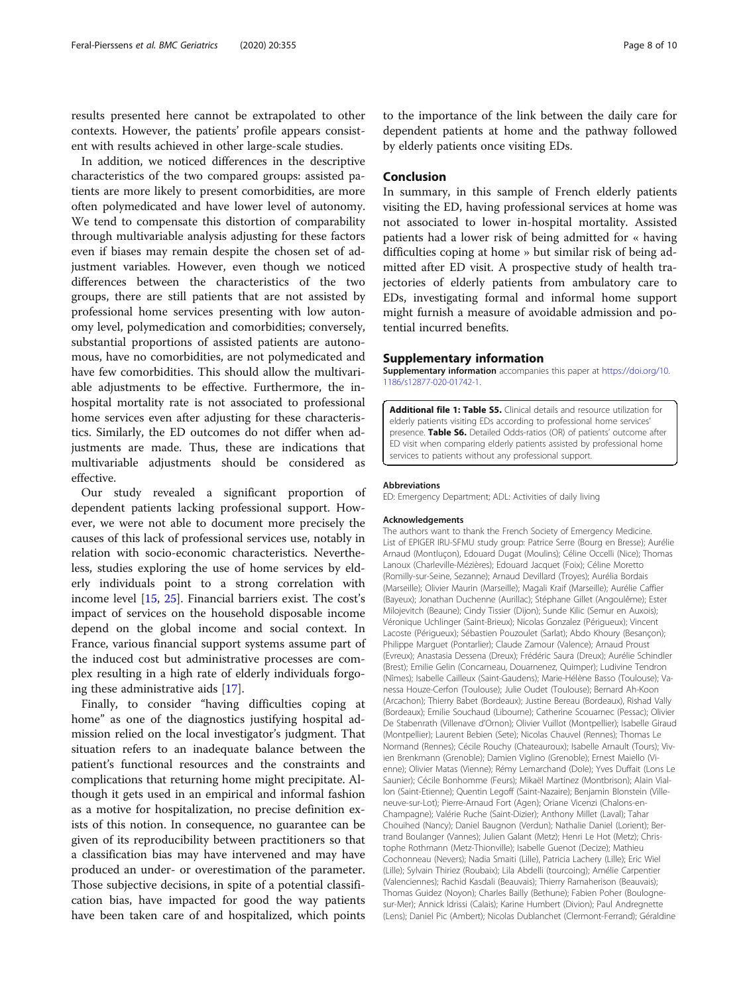<span id="page-7-0"></span>results presented here cannot be extrapolated to other contexts. However, the patients' profile appears consistent with results achieved in other large-scale studies.

In addition, we noticed differences in the descriptive characteristics of the two compared groups: assisted patients are more likely to present comorbidities, are more often polymedicated and have lower level of autonomy. We tend to compensate this distortion of comparability through multivariable analysis adjusting for these factors even if biases may remain despite the chosen set of adjustment variables. However, even though we noticed differences between the characteristics of the two groups, there are still patients that are not assisted by professional home services presenting with low autonomy level, polymedication and comorbidities; conversely, substantial proportions of assisted patients are autonomous, have no comorbidities, are not polymedicated and have few comorbidities. This should allow the multivariable adjustments to be effective. Furthermore, the inhospital mortality rate is not associated to professional home services even after adjusting for these characteristics. Similarly, the ED outcomes do not differ when adjustments are made. Thus, these are indications that multivariable adjustments should be considered as effective.

Our study revealed a significant proportion of dependent patients lacking professional support. However, we were not able to document more precisely the causes of this lack of professional services use, notably in relation with socio-economic characteristics. Nevertheless, studies exploring the use of home services by elderly individuals point to a strong correlation with income level [\[15](#page-9-0), [25](#page-9-0)]. Financial barriers exist. The cost's impact of services on the household disposable income depend on the global income and social context. In France, various financial support systems assume part of the induced cost but administrative processes are complex resulting in a high rate of elderly individuals forgoing these administrative aids [\[17](#page-9-0)].

Finally, to consider "having difficulties coping at home" as one of the diagnostics justifying hospital admission relied on the local investigator's judgment. That situation refers to an inadequate balance between the patient's functional resources and the constraints and complications that returning home might precipitate. Although it gets used in an empirical and informal fashion as a motive for hospitalization, no precise definition exists of this notion. In consequence, no guarantee can be given of its reproducibility between practitioners so that a classification bias may have intervened and may have produced an under- or overestimation of the parameter. Those subjective decisions, in spite of a potential classification bias, have impacted for good the way patients have been taken care of and hospitalized, which points

to the importance of the link between the daily care for dependent patients at home and the pathway followed by elderly patients once visiting EDs.

#### Conclusion

In summary, in this sample of French elderly patients visiting the ED, having professional services at home was not associated to lower in-hospital mortality. Assisted patients had a lower risk of being admitted for « having difficulties coping at home » but similar risk of being admitted after ED visit. A prospective study of health trajectories of elderly patients from ambulatory care to EDs, investigating formal and informal home support might furnish a measure of avoidable admission and potential incurred benefits.

#### Supplementary information

Supplementary information accompanies this paper at [https://doi.org/10.](https://doi.org/10.1186/s12877-020-01742-1) [1186/s12877-020-01742-1](https://doi.org/10.1186/s12877-020-01742-1).

Additional file 1: Table S5. Clinical details and resource utilization for elderly patients visiting EDs according to professional home services' presence. Table S6. Detailed Odds-ratios (OR) of patients' outcome after ED visit when comparing elderly patients assisted by professional home services to patients without any professional support.

#### Abbreviations

ED: Emergency Department; ADL: Activities of daily living

#### Acknowledgements

The authors want to thank the French Society of Emergency Medicine. List of EPIGER IRU-SFMU study group: Patrice Serre (Bourg en Bresse); Aurélie Arnaud (Montluçon), Edouard Dugat (Moulins); Céline Occelli (Nice); Thomas Lanoux (Charleville-Mézières); Edouard Jacquet (Foix); Céline Moretto (Romilly-sur-Seine, Sezanne); Arnaud Devillard (Troyes); Aurélia Bordais (Marseille); Olivier Maurin (Marseille); Magali Kraif (Marseille); Aurélie Caffier (Bayeux); Jonathan Duchenne (Aurillac); Stéphane Gillet (Angoulême); Ester Milojevitch (Beaune); Cindy Tissier (Dijon); Sunde Kilic (Semur en Auxois); Véronique Uchlinger (Saint-Brieux); Nicolas Gonzalez (Périgueux); Vincent Lacoste (Périgueux); Sébastien Pouzoulet (Sarlat); Abdo Khoury (Besançon); Philippe Marguet (Pontarlier); Claude Zamour (Valence); Arnaud Proust (Evreux); Anastasia Dessena (Dreux); Frédéric Saura (Dreux); Aurélie Schindler (Brest); Emilie Gelin (Concarneau, Douarnenez, Quimper); Ludivine Tendron (Nîmes); Isabelle Cailleux (Saint-Gaudens); Marie-Hélène Basso (Toulouse); Vanessa Houze-Cerfon (Toulouse); Julie Oudet (Toulouse); Bernard Ah-Koon (Arcachon); Thierry Babet (Bordeaux); Justine Bereau (Bordeaux), Rishad Vally (Bordeaux); Emilie Souchaud (Libourne); Catherine Scouarnec (Pessac); Olivier De Stabenrath (Villenave d'Ornon); Olivier Vuillot (Montpellier); Isabelle Giraud (Montpellier); Laurent Bebien (Sete); Nicolas Chauvel (Rennes); Thomas Le Normand (Rennes); Cécile Rouchy (Chateauroux); Isabelle Arnault (Tours); Vivien Brenkmann (Grenoble); Damien Viglino (Grenoble); Ernest Maiello (Vienne); Olivier Matas (Vienne); Rémy Lemarchand (Dole); Yves Duffait (Lons Le Saunier); Cécile Bonhomme (Feurs); Mikaël Martinez (Montbrison); Alain Viallon (Saint-Etienne); Quentin Legoff (Saint-Nazaire); Benjamin Blonstein (Villeneuve-sur-Lot); Pierre-Arnaud Fort (Agen); Oriane Vicenzi (Chalons-en-Champagne); Valérie Ruche (Saint-Dizier); Anthony Millet (Laval); Tahar Chouihed (Nancy); Daniel Baugnon (Verdun); Nathalie Daniel (Lorient); Bertrand Boulanger (Vannes); Julien Galant (Metz); Henri Le Hot (Metz); Christophe Rothmann (Metz-Thionville); Isabelle Guenot (Decize); Mathieu Cochonneau (Nevers); Nadia Smaiti (Lille), Patricia Lachery (Lille); Eric Wiel (Lille); Sylvain Thiriez (Roubaix); Lila Abdelli (tourcoing); Amélie Carpentier (Valenciennes); Rachid Kasdali (Beauvais); Thierry Ramaherison (Beauvais); Thomas Guidez (Noyon); Charles Bailly (Bethune); Fabien Poher (Boulognesur-Mer); Annick Idrissi (Calais); Karine Humbert (Divion); Paul Andregnette (Lens); Daniel Pic (Ambert); Nicolas Dublanchet (Clermont-Ferrand); Géraldine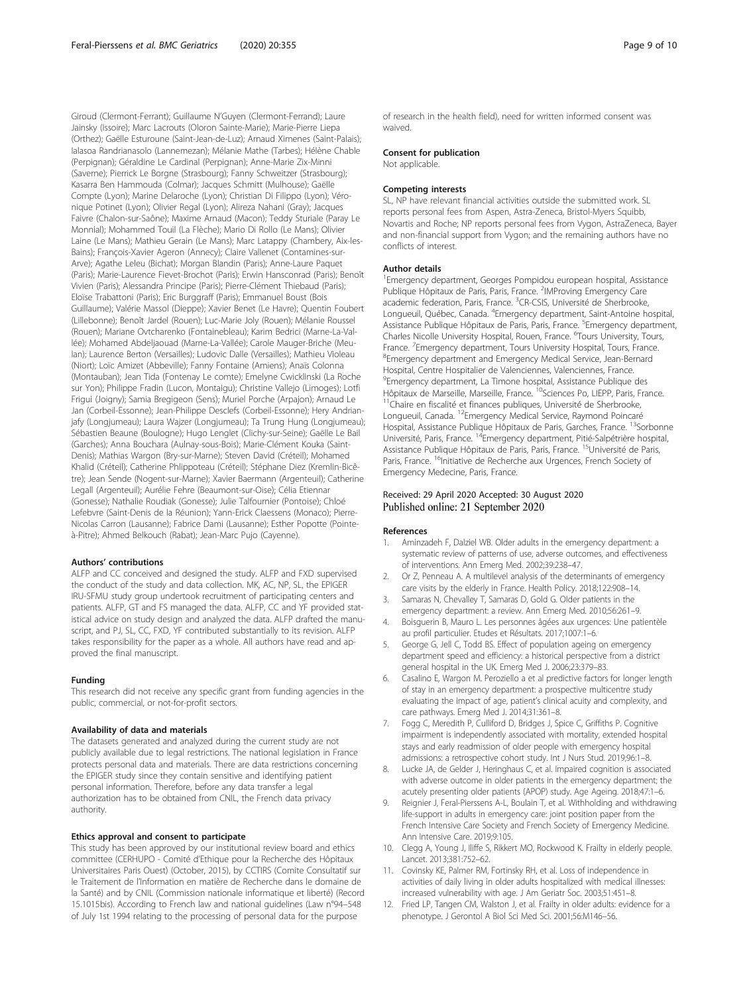<span id="page-8-0"></span>Giroud (Clermont-Ferrant); Guillaume N'Guyen (Clermont-Ferrand); Laure Jainsky (Issoire); Marc Lacrouts (Oloron Sainte-Marie); Marie-Pierre Liepa (Orthez); Gaëlle Esturoune (Saint-Jean-de-Luz); Arnaud Ximenes (Saint-Palais); Ialasoa Randrianasolo (Lannemezan); Mélanie Mathe (Tarbes); Hélène Chable (Perpignan); Géraldine Le Cardinal (Perpignan); Anne-Marie Zix-Minni (Saverne); Pierrick Le Borgne (Strasbourg); Fanny Schweitzer (Strasbourg); Kasarra Ben Hammouda (Colmar); Jacques Schmitt (Mulhouse); Gaëlle Compte (Lyon); Marine Delaroche (Lyon); Christian Di Filippo (Lyon); Véronique Potinet (Lyon); Olivier Regal (Lyon); Alireza Nahani (Gray); Jacques Faivre (Chalon-sur-Saône); Maxime Arnaud (Macon); Teddy Sturiale (Paray Le Monnial); Mohammed Touil (La Flèche); Mario Di Rollo (Le Mans); Olivier Laine (Le Mans); Mathieu Gerain (Le Mans); Marc Latappy (Chambery, Aix-les-Bains); François-Xavier Ageron (Annecy); Claire Vallenet (Contamines-sur-Arve); Agathe Leleu (Bichat); Morgan Blandin (Paris); Anne-Laure Paquet (Paris); Marie-Laurence Fievet-Brochot (Paris); Erwin Hansconrad (Paris); Benoît Vivien (Paris); Alessandra Principe (Paris); Pierre-Clément Thiebaud (Paris); Eloïse Trabattoni (Paris); Eric Burggraff (Paris); Emmanuel Boust (Bois Guillaume); Valérie Massol (Dieppe); Xavier Benet (Le Havre); Quentin Foubert (Lillebonne); Benoît Jardel (Rouen); Luc-Marie Joly (Rouen); Mélanie Roussel (Rouen); Mariane Ovtcharenko (Fontainebleau); Karim Bedrici (Marne-La-Vallée); Mohamed Abdeljaouad (Marne-La-Vallée); Carole Mauger-Briche (Meulan); Laurence Berton (Versailles); Ludovic Dalle (Versailles); Mathieu Violeau (Niort); Loïc Amizet (Abbeville); Fanny Fontaine (Amiens); Anaïs Colonna (Montauban); Jean Tida (Fontenay Le comte); Emelyne Cwicklinski (La Roche sur Yon); Philippe Fradin (Lucon, Montaigu); Christine Vallejo (Limoges); Lotfi Frigui (Joigny); Samia Bregigeon (Sens); Muriel Porche (Arpajon); Arnaud Le Jan (Corbeil-Essonne); Jean-Philippe Desclefs (Corbeil-Essonne); Hery Andrianjafy (Longjumeau); Laura Wajzer (Longjumeau); Ta Trung Hung (Longjumeau); Sébastien Beaune (Boulogne); Hugo Lenglet (Clichy-sur-Seine); Gaëlle Le Bail (Garches); Anna Bouchara (Aulnay-sous-Bois); Marie-Clément Kouka (Saint-Denis); Mathias Wargon (Bry-sur-Marne); Steven David (Créteil); Mohamed Khalid (Créteil); Catherine Phlippoteau (Créteil); Stéphane Diez (Kremlin-Bicêtre); Jean Sende (Nogent-sur-Marne); Xavier Baermann (Argenteuil); Catherine Legall (Argenteuil); Aurélie Fehre (Beaumont-sur-Oise); Célia Etiennar (Gonesse); Nathalie Roudiak (Gonesse); Julie Talfournier (Pontoise); Chloé Lefebvre (Saint-Denis de la Réunion); Yann-Erick Claessens (Monaco); Pierre-Nicolas Carron (Lausanne); Fabrice Dami (Lausanne); Esther Popotte (Pointeà-Pitre); Ahmed Belkouch (Rabat); Jean-Marc Pujo (Cayenne).

#### Authors' contributions

ALFP and CC conceived and designed the study. ALFP and FXD supervised the conduct of the study and data collection. MK, AC, NP, SL, the EPIGER IRU-SFMU study group undertook recruitment of participating centers and patients. ALFP, GT and FS managed the data. ALFP, CC and YF provided statistical advice on study design and analyzed the data. ALFP drafted the manuscript, and PJ, SL, CC, FXD, YF contributed substantially to its revision. ALFP takes responsibility for the paper as a whole. All authors have read and approved the final manuscript.

#### Funding

This research did not receive any specific grant from funding agencies in the public, commercial, or not-for-profit sectors.

#### Availability of data and materials

The datasets generated and analyzed during the current study are not publicly available due to legal restrictions. The national legislation in France protects personal data and materials. There are data restrictions concerning the EPIGER study since they contain sensitive and identifying patient personal information. Therefore, before any data transfer a legal authorization has to be obtained from CNIL, the French data privacy authority.

#### Ethics approval and consent to participate

This study has been approved by our institutional review board and ethics committee (CERHUPO - Comité d'Ethique pour la Recherche des Hôpitaux Universitaires Paris Ouest) (October, 2015), by CCTIRS (Comite Consultatif sur le Traitement de l'Information en matière de Recherche dans le domaine de la Santé) and by CNIL (Commission nationale informatique et liberté) (Record 15.1015bis). According to French law and national guidelines (Law n°94–548 of July 1st 1994 relating to the processing of personal data for the purpose

of research in the health field), need for written informed consent was waived.

#### Consent for publication

Not applicable.

#### Competing interests

SL, NP have relevant financial activities outside the submitted work. SL reports personal fees from Aspen, Astra-Zeneca, Bristol-Myers Squibb, Novartis and Roche; NP reports personal fees from Vygon, AstraZeneca, Bayer and non-financial support from Vygon; and the remaining authors have no conflicts of interest.

#### Author details

<sup>1</sup> Emergency department, Georges Pompidou european hospital, Assistance Publique Hôpitaux de Paris, Paris, France. <sup>2</sup>IMProving Emergency Care academic federation, Paris, France. <sup>3</sup>CR-CSIS, Université de Sherbrooke Longueuil, Québec, Canada. <sup>4</sup>Emergency department, Saint-Antoine hospital, Assistance Publique Hôpitaux de Paris, Paris, France. <sup>5</sup>Emergency department Charles Nicolle University Hospital, Rouen, France. <sup>6</sup>Tours University, Tours France. <sup>7</sup>Emergency department, Tours University Hospital, Tours, France.<br><sup>8</sup>Emergency department and Emergency Modical Senvice. Joan Bernard Emergency department and Emergency Medical Service, Jean-Bernard Hospital, Centre Hospitalier de Valenciennes, Valenciennes, France. <sup>9</sup> Emergency department, La Timone hospital, Assistance Publique des Hôpitaux de Marseille, Marseille, France. <sup>10</sup>Sciences Po, LIEPP, Paris, France. 11Chaire en fiscalité et finances publiques, Université de Sherbrooke, Longueuil, Canada. 12Emergency Medical Service, Raymond Poincaré Hospital, Assistance Publique Hôpitaux de Paris, Garches, France. <sup>13</sup>Sorbonne Université, Paris, France. 14Emergency department, Pitié-Salpétrière hospital, Assistance Publique Hôpitaux de Paris, Paris, France.<sup>15</sup>Université de Paris, Paris, France. <sup>16</sup>Initiative de Recherche aux Urgences, French Society of Emergency Medecine, Paris, France.

# Received: 29 April 2020 Accepted: 30 August 2020

#### References

- Aminzadeh F, Dalziel WB. Older adults in the emergency department: a systematic review of patterns of use, adverse outcomes, and effectiveness of interventions. Ann Emerg Med. 2002;39:238–47.
- 2. Or Z, Penneau A. A multilevel analysis of the determinants of emergency care visits by the elderly in France. Health Policy. 2018;122:908–14.
- 3. Samaras N, Chevalley T, Samaras D, Gold G. Older patients in the emergency department: a review. Ann Emerg Med. 2010;56:261–9.
- 4. Boisguerin B, Mauro L. Les personnes âgées aux urgences: Une patientèle au profil particulier. Etudes et Résultats. 2017;1007:1–6.
- 5. George G, Jell C, Todd BS. Effect of population ageing on emergency department speed and efficiency: a historical perspective from a district general hospital in the UK. Emerg Med J. 2006;23:379–83.
- 6. Casalino E, Wargon M. Peroziello a et al predictive factors for longer length of stay in an emergency department: a prospective multicentre study evaluating the impact of age, patient's clinical acuity and complexity, and care pathways. Emerg Med J. 2014;31:361–8.
- 7. Fogg C, Meredith P, Culliford D, Bridges J, Spice C, Griffiths P. Cognitive impairment is independently associated with mortality, extended hospital stays and early readmission of older people with emergency hospital admissions: a retrospective cohort study. Int J Nurs Stud. 2019;96:1–8.
- Lucke JA, de Gelder J, Heringhaus C, et al. Impaired cognition is associated with adverse outcome in older patients in the emergency department; the acutely presenting older patients (APOP) study. Age Ageing. 2018;47:1–6.
- 9. Reignier J, Feral-Pierssens A-L, Boulain T, et al. Withholding and withdrawing life-support in adults in emergency care: joint position paper from the French Intensive Care Society and French Society of Emergency Medicine. Ann Intensive Care. 2019;9:105.
- 10. Clegg A, Young J, Iliffe S, Rikkert MO, Rockwood K. Frailty in elderly people. Lancet. 2013;381:752–62.
- 11. Covinsky KE, Palmer RM, Fortinsky RH, et al. Loss of independence in activities of daily living in older adults hospitalized with medical illnesses: increased vulnerability with age. J Am Geriatr Soc. 2003;51:451–8.
- 12. Fried LP, Tangen CM, Walston J, et al. Frailty in older adults: evidence for a phenotype. J Gerontol A Biol Sci Med Sci. 2001;56:M146–56.